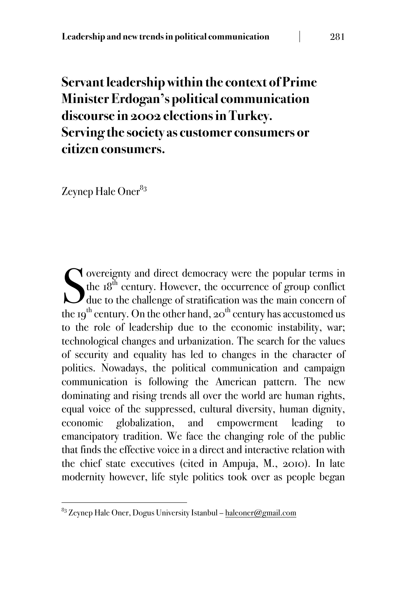# **Servant leadership within the context of Prime Minister Erdogan's political communication discourse in 2002 elections in Turkey. Serving the society as customer consumers or citizen consumers.**

Zeynep Hale Oner<sup>83</sup>

overeignty and direct democracy were the popular terms in the 18<sup>th</sup> century. However, the occurrence of group conflict due to the challenge of stratification was the main concern of the 19<sup>th</sup> century. On the other hand, 20<sup>th</sup> century has accustomed us to the role of leadership due to the economic instability, war; technological changes and urbanization. The search for the values of security and equality has led to changes in the character of politics. Nowadays, the political communication and campaign communication is following the American pattern. The new dominating and rising trends all over the world are human rights, equal voice of the suppressed, cultural diversity, human dignity, economic globalization, and empowerment leading to emancipatory tradition. We face the changing role of the public that finds the effective voice in a direct and interactive relation with the chief state executives (cited in Ampuja, M., 2010). In late modernity however, life style politics took over as people began S

!!!!!!!!!!!!!!!!!!!!!!!!!!!!!!!!!!!!!!!!!!!!!!!!!!!!!!!

 $83$  Zeynep Hale Oner, Dogus University Istanbul – haleoner@gmail.com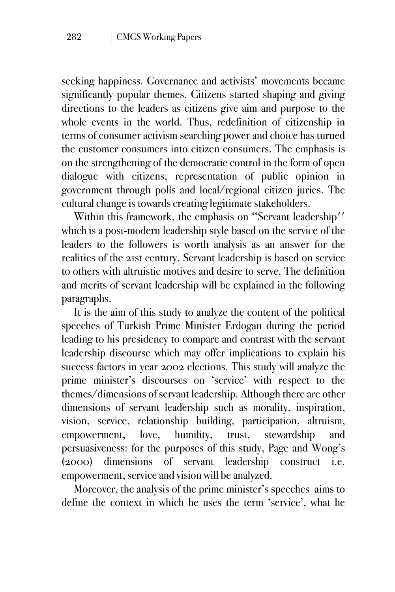seeking happiness. Governance and activists' movements became significantly popular themes. Citizens started shaping and giving directions to the leaders as citizens give aim and purpose to the whole events in the world. Thus, redefinition of citizenship in terms of consumer activism searching power and choice has turned the customer consumers into citizen consumers. The emphasis is on the strengthening of the democratic control in the form of open dialogue with citizens, representation of public opinion in government through polls and local/regional citizen juries. The cultural change is towards creating legitimate stakeholders.

Within this framework, the emphasis on "Servant leadership" which is a post-modern leadership style based on the service of the leaders to the followers is worth analysis as an answer for the realities of the 21st century. Servant leadership is based on service to others with altruistic motives and desire to serve. The definition and merits of servant leadership will be explained in the following paragraphs.

It is the aim of this study to analyze the content of the political speeches of Turkish Prime Minister Erdogan during the period leading to his presidency to compare and contrast with the servant leadership discourse which may offer implications to explain his success factors in year 2002 elections. This study will analyze the prime minister's discourses on 'service' with respect to the themes/dimensions of servant leadership. Although there are other dimensions of servant leadership such as morality, inspiration, vision, service, relationship building, participation, altruism, empowerment, love, humility, trust, stewardship and persuasiveness: for the purposes of this study, Page and Wong's (2000) dimensions of servant leadership construct i.e. empowerment, service and vision will be analyzed.

Moreover, the analysis of the prime minister's speeches aims to define the context in which he uses the term 'service', what he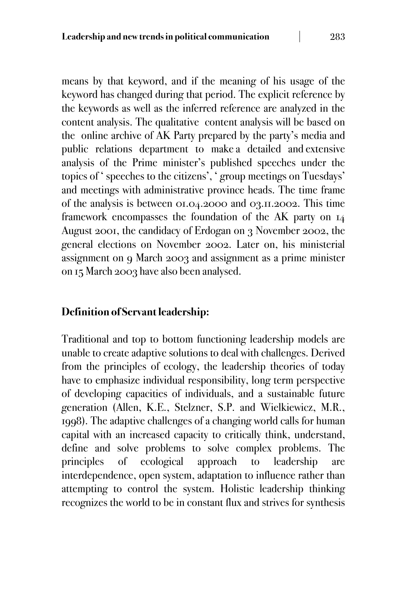means by that keyword, and if the meaning of his usage of the keyword has changed during that period. The explicit reference by the keywords as well as the inferred reference are analyzed in the content analysis. The qualitative content analysis will be based on the online archive of AK Party prepared by the party's media and public relations department to make a detailed and extensive analysis of the Prime minister's published speeches under the topics of ' speeches to the citizens', ' group meetings on Tuesdays' and meetings with administrative province heads. The time frame of the analysis is between 01.04.2000 and 03.11.2002. This time framework encompasses the foundation of the AK party on 14 August 2001, the candidacy of Erdogan on 3 November 2002, the general elections on November 2002. Later on, his ministerial assignment on 9 March 2003 and assignment as a prime minister on 15 March 2003 have also been analysed.

## **Definition of Servant leadership:**

Traditional and top to bottom functioning leadership models are unable to create adaptive solutions to deal with challenges. Derived from the principles of ecology, the leadership theories of today have to emphasize individual responsibility, long term perspective of developing capacities of individuals, and a sustainable future generation (Allen, K.E., Stelzner, S.P. and Wielkiewicz, M.R., 1998). The adaptive challenges of a changing world calls for human capital with an increased capacity to critically think, understand, define and solve problems to solve complex problems. The principles of ecological approach to leadership are interdependence, open system, adaptation to influence rather than attempting to control the system. Holistic leadership thinking recognizes the world to be in constant flux and strives for synthesis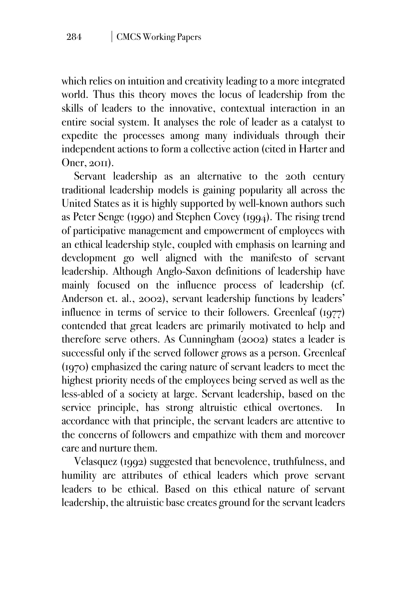which relies on intuition and creativity leading to a more integrated world. Thus this theory moves the locus of leadership from the skills of leaders to the innovative, contextual interaction in an entire social system. It analyses the role of leader as a catalyst to expedite the processes among many individuals through their independent actions to form a collective action (cited in Harter and Oner, 2011).

Servant leadership as an alternative to the 20th century traditional leadership models is gaining popularity all across the United States as it is highly supported by well-known authors such as Peter Senge (1990) and Stephen Covey (1994). The rising trend of participative management and empowerment of employees with an ethical leadership style, coupled with emphasis on learning and development go well aligned with the manifesto of servant leadership. Although Anglo-Saxon definitions of leadership have mainly focused on the influence process of leadership (cf. Anderson et. al., 2002), servant leadership functions by leaders' influence in terms of service to their followers. Greenleaf (1977) contended that great leaders are primarily motivated to help and therefore serve others. As Cunningham (2002) states a leader is successful only if the served follower grows as a person. Greenleaf (1970) emphasized the caring nature of servant leaders to meet the highest priority needs of the employees being served as well as the less-abled of a society at large. Servant leadership, based on the service principle, has strong altruistic ethical overtones. In accordance with that principle, the servant leaders are attentive to the concerns of followers and empathize with them and moreover care and nurture them.

Velasquez (1992) suggested that benevolence, truthfulness, and humility are attributes of ethical leaders which prove servant leaders to be ethical. Based on this ethical nature of servant leadership, the altruistic base creates ground for the servant leaders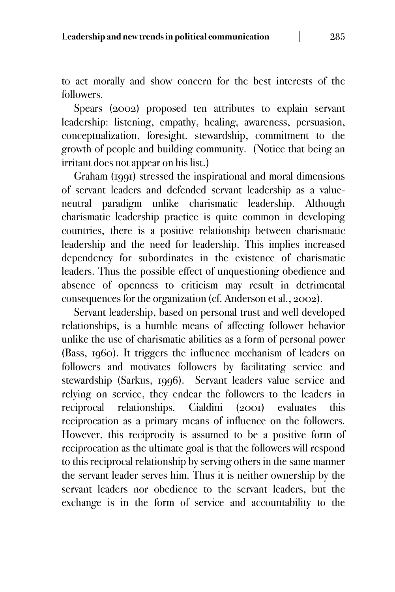to act morally and show concern for the best interests of the followers.

Spears (2002) proposed ten attributes to explain servant leadership: listening, empathy, healing, awareness, persuasion, conceptualization, foresight, stewardship, commitment to the growth of people and building community. (Notice that being an irritant does not appear on his list.)

Graham (1991) stressed the inspirational and moral dimensions of servant leaders and defended servant leadership as a valueneutral paradigm unlike charismatic leadership. Although charismatic leadership practice is quite common in developing countries, there is a positive relationship between charismatic leadership and the need for leadership. This implies increased dependency for subordinates in the existence of charismatic leaders. Thus the possible effect of unquestioning obedience and absence of openness to criticism may result in detrimental consequences for the organization (cf. Anderson et al., 2002).

Servant leadership, based on personal trust and well developed relationships, is a humble means of affecting follower behavior unlike the use of charismatic abilities as a form of personal power (Bass, 1960). It triggers the influence mechanism of leaders on followers and motivates followers by facilitating service and stewardship (Sarkus, 1996). Servant leaders value service and relying on service, they endear the followers to the leaders in reciprocal relationships. Cialdini (2001) evaluates this reciprocation as a primary means of influence on the followers. However, this reciprocity is assumed to be a positive form of reciprocation as the ultimate goal is that the followers will respond to this reciprocal relationship by serving others in the same manner the servant leader serves him. Thus it is neither ownership by the servant leaders nor obedience to the servant leaders, but the exchange is in the form of service and accountability to the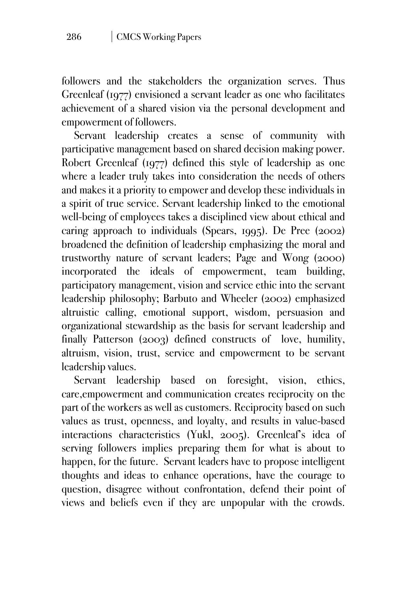followers and the stakeholders the organization serves. Thus Greenleaf (1977) envisioned a servant leader as one who facilitates achievement of a shared vision via the personal development and empowerment of followers.

Servant leadership creates a sense of community with participative management based on shared decision making power. Robert Greenleaf (1977) defined this style of leadership as one where a leader truly takes into consideration the needs of others and makes it a priority to empower and develop these individuals in a spirit of true service. Servant leadership linked to the emotional well-being of employees takes a disciplined view about ethical and caring approach to individuals (Spears, 1995). De Pree (2002) broadened the definition of leadership emphasizing the moral and trustworthy nature of servant leaders; Page and Wong (2000) incorporated the ideals of empowerment, team building, participatory management, vision and service ethic into the servant leadership philosophy; Barbuto and Wheeler (2002) emphasized altruistic calling, emotional support, wisdom, persuasion and organizational stewardship as the basis for servant leadership and finally Patterson (2003) defined constructs of love, humility, altruism, vision, trust, service and empowerment to be servant leadership values.

Servant leadership based on foresight, vision, ethics, care,empowerment and communication creates reciprocity on the part of the workers as well as customers. Reciprocity based on such values as trust, openness, and loyalty, and results in value-based interactions characteristics (Yukl, 2005). Greenleaf's idea of serving followers implies preparing them for what is about to happen, for the future. Servant leaders have to propose intelligent thoughts and ideas to enhance operations, have the courage to question, disagree without confrontation, defend their point of views and beliefs even if they are unpopular with the crowds.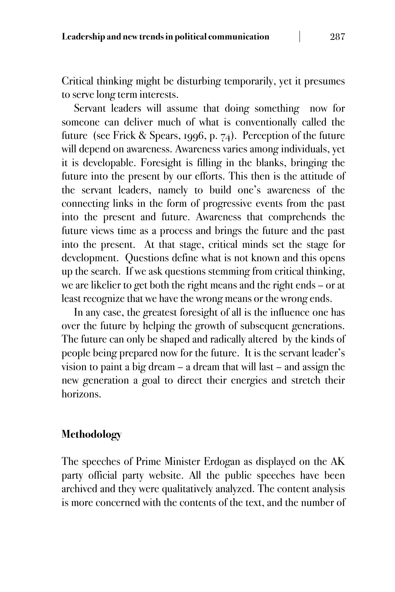Critical thinking might be disturbing temporarily, yet it presumes to serve long term interests.

Servant leaders will assume that doing something now for someone can deliver much of what is conventionally called the future (see Frick & Spears, 1996, p. 74). Perception of the future will depend on awareness. Awareness varies among individuals, yet it is developable. Foresight is filling in the blanks, bringing the future into the present by our efforts. This then is the attitude of the servant leaders, namely to build one's awareness of the connecting links in the form of progressive events from the past into the present and future. Awareness that comprehends the future views time as a process and brings the future and the past into the present. At that stage, critical minds set the stage for development. Questions define what is not known and this opens up the search. If we ask questions stemming from critical thinking, we are likelier to get both the right means and the right ends – or at least recognize that we have the wrong means or the wrong ends.

In any case, the greatest foresight of all is the influence one has over the future by helping the growth of subsequent generations. The future can only be shaped and radically altered by the kinds of people being prepared now for the future. It is the servant leader's vision to paint a big dream – a dream that will last – and assign the new generation a goal to direct their energies and stretch their horizons.

## **Methodology**

The speeches of Prime Minister Erdogan as displayed on the AK party official party website. All the public speeches have been archived and they were qualitatively analyzed. The content analysis is more concerned with the contents of the text, and the number of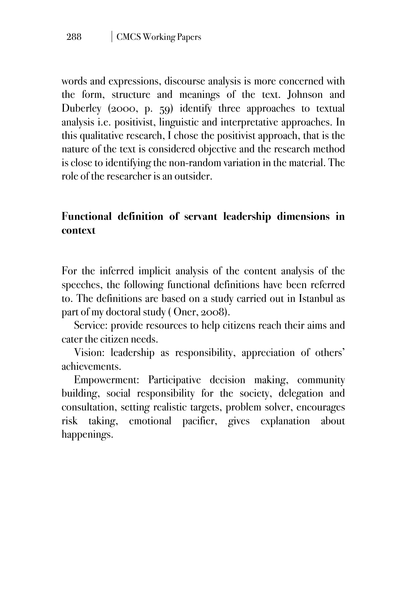words and expressions, discourse analysis is more concerned with the form, structure and meanings of the text. Johnson and Duberley (2000, p. 59) identify three approaches to textual analysis i.e. positivist, linguistic and interpretative approaches. In this qualitative research, I chose the positivist approach, that is the nature of the text is considered objective and the research method is close to identifying the non-random variation in the material. The role of the researcher is an outsider.

# **Functional definition of servant leadership dimensions in context**

For the inferred implicit analysis of the content analysis of the speeches, the following functional definitions have been referred to. The definitions are based on a study carried out in Istanbul as part of my doctoral study ( Oner, 2008).

Service: provide resources to help citizens reach their aims and cater the citizen needs.

Vision: leadership as responsibility, appreciation of others' achievements.

Empowerment: Participative decision making, community building, social responsibility for the society, delegation and consultation, setting realistic targets, problem solver, encourages risk taking, emotional pacifier, gives explanation about happenings.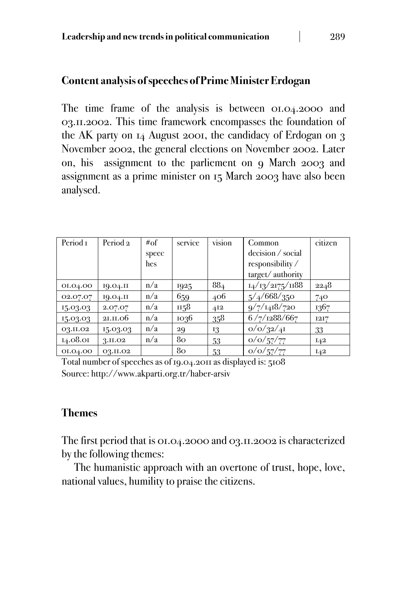#### **Content analysis of speeches of Prime Minister Erdogan**

The time frame of the analysis is between 01.04.2000 and 03.11.2002. This time framework encompasses the foundation of the AK party on 14 August 2001, the candidacy of Erdogan on 3 November 2002, the general elections on November 2002. Later on, his assignment to the parliement on 9 March 2003 and assignment as a prime minister on 15 March 2003 have also been analysed.

| Period <sub>1</sub> | Period <sub>2</sub> | #of   | service | vision | Common            | citizen |
|---------------------|---------------------|-------|---------|--------|-------------------|---------|
|                     |                     | speec |         |        | decision / social |         |
|                     |                     | hes   |         |        | responsibility/   |         |
|                     |                     |       |         |        | target/authority  |         |
| 01.04.00            | 19.04.II            | n/a   | 1925    | 884    | 14/13/2175/1188   | 2248    |
| 02.07.07            | IQ.O4.II            | n/a   | 659     | 406    | 5/4/668/350       | 740     |
| 15.03.03            | 2.07.07             | n/a   | 1158    | 412    | 9/7/1418/720      | 1367    |
| 15.03.03            | 21.11.06            | n/a   | 1036    | 358    | 6/7/1288/667      | 1217    |
| 03.II.02            | 15.03.03            | n/a   | 29      | 13     | o/o/32/4I         | 33      |
| 14.08.01            | 3.II.O <sub>2</sub> | n/a   | 80      | 53     | o/o/57/77         | $I$ 42  |
| 01.04.00            | 03.II.02            |       | 80      | 53     | o/o/57/77         | I42     |

Total number of speeches as of 19.04.2011 as displayed is: 5108 Source: http://www.akparti.org.tr/haber-arsiv

## **Themes**

The first period that is 01.04.2000 and 03.11.2002 is characterized by the following themes:

The humanistic approach with an overtone of trust, hope, love, national values, humility to praise the citizens.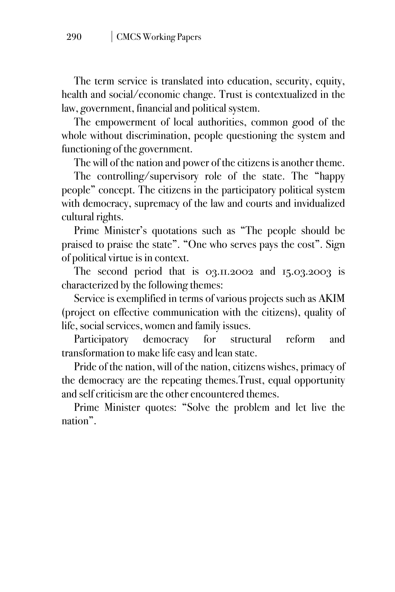The term service is translated into education, security, equity, health and social/economic change. Trust is contextualized in the law, government, financial and political system.

The empowerment of local authorities, common good of the whole without discrimination, people questioning the system and functioning of the government.

The will of the nation and power of the citizens is another theme.

The controlling/supervisory role of the state. The "happy people" concept. The citizens in the participatory political system with democracy, supremacy of the law and courts and invidualized cultural rights.

Prime Minister's quotations such as "The people should be praised to praise the state". "One who serves pays the cost". Sign of political virtue is in context.

The second period that is 03.11.2002 and 15.03.2003 is characterized by the following themes:

Service is exemplified in terms of various projects such as AKIM (project on effective communication with the citizens), quality of life, social services, women and family issues.

Participatory democracy for structural reform and transformation to make life easy and lean state.

Pride of the nation, will of the nation, citizens wishes, primacy of the democracy are the repeating themes.Trust, equal opportunity and self criticism are the other encountered themes.

Prime Minister quotes: "Solve the problem and let live the nation".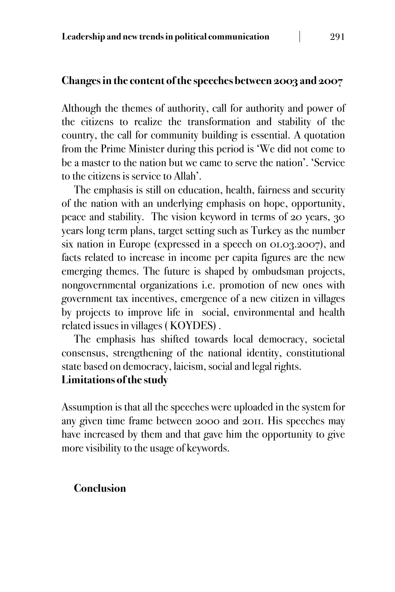#### **Changes in the content of the speeches between 2003 and 2007**

Although the themes of authority, call for authority and power of the citizens to realize the transformation and stability of the country, the call for community building is essential. A quotation from the Prime Minister during this period is 'We did not come to be a master to the nation but we came to serve the nation'. 'Service to the citizens is service to Allah'.

The emphasis is still on education, health, fairness and security of the nation with an underlying emphasis on hope, opportunity, peace and stability. The vision keyword in terms of 20 years, 30 years long term plans, target setting such as Turkey as the number six nation in Europe (expressed in a speech on 01.03.2007), and facts related to increase in income per capita figures are the new emerging themes. The future is shaped by ombudsman projects, nongovernmental organizations i.e. promotion of new ones with government tax incentives, emergence of a new citizen in villages by projects to improve life in social, environmental and health related issues in villages ( KOYDES) .

The emphasis has shifted towards local democracy, societal consensus, strengthening of the national identity, constitutional state based on democracy, laicism, social and legal rights.

#### **Limitations of the study**

Assumption is that all the speeches were uploaded in the system for any given time frame between 2000 and 2011. His speeches may have increased by them and that gave him the opportunity to give more visibility to the usage of keywords.

#### **Conclusion**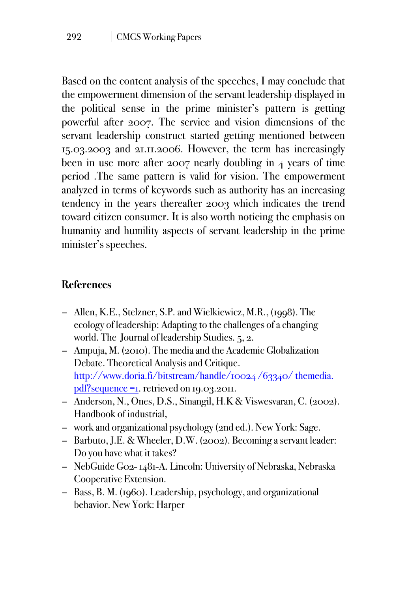Based on the content analysis of the speeches, I may conclude that the empowerment dimension of the servant leadership displayed in the political sense in the prime minister's pattern is getting powerful after 2007. The service and vision dimensions of the servant leadership construct started getting mentioned between 15.03.2003 and 21.11.2006. However, the term has increasingly been in use more after 2007 nearly doubling in 4 years of time period .The same pattern is valid for vision. The empowerment analyzed in terms of keywords such as authority has an increasing tendency in the years thereafter 2003 which indicates the trend toward citizen consumer. It is also worth noticing the emphasis on humanity and humility aspects of servant leadership in the prime minister's speeches.

# **References**

- − Allen, K.E., Stelzner, S.P. and Wielkiewicz, M.R., (1998). The ecology of leadership: Adapting to the challenges of a changing world. The Journal of leadership Studies. 5, 2.
- − Ampuja, M. (2010). The media and the Academic Globalization Debate. Theoretical Analysis and Critique. http://www.doria.fi/bitstream/handle/10024/63340/themedia. pdf?sequence =1. retrieved on 19.03.2011.
- − Anderson, N., Ones, D.S., Sinangil, H.K & Viswesvaran, C. (2002). Handbook of industrial,
- − work and organizational psychology (2nd ed.). New York: Sage.
- − Barbuto, J.E. & Wheeler, D.W. (2002). Becoming a servant leader: Do you have what it takes?
- − NebGuide G02- 1481-A. Lincoln: University of Nebraska, Nebraska Cooperative Extension.
- − Bass, B. M. (1960). Leadership, psychology, and organizational behavior. New York: Harper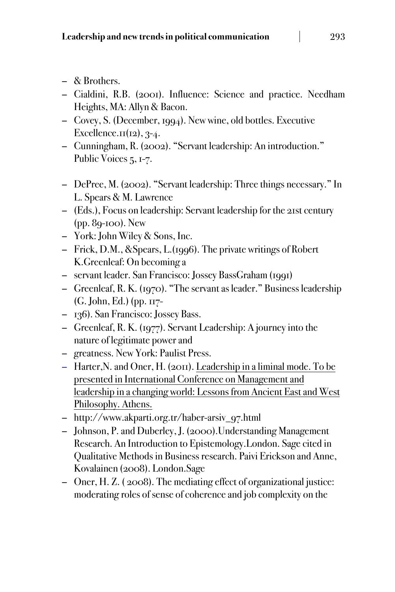- − & Brothers.
- − Cialdini, R.B. (2001). Influence: Science and practice. Needham Heights, MA: Allyn & Bacon.
- − Covey, S. (December, 1994). New wine, old bottles. Executive Excellence. $\text{II}(12)$ , 3-4.
- − Cunningham, R. (2002). "Servant leadership: An introduction." Public Voices 5, 1-7.
- − DePree, M. (2002). "Servant leadership: Three things necessary." In L. Spears & M. Lawrence
- − (Eds.), Focus on leadership: Servant leadership for the 21st century (pp. 89-100). New
- − York: John Wiley & Sons, Inc.
- − Frick, D.M., &Spears, L.(1996). The private writings of Robert K.Greenleaf: On becoming a
- − servant leader. San Francisco: Jossey BassGraham (1991)
- − Greenleaf, R. K. (1970). "The servant as leader." Business leadership (G. John, Ed.) (pp. 117-
- − 136). San Francisco: Jossey Bass.
- − Greenleaf, R. K. (1977). Servant Leadership: A journey into the nature of legitimate power and
- − greatness. New York: Paulist Press.
- − Harter,N. and Oner, H. (2011). Leadership in a liminal mode. To be presented in International Conference on Management and leadership in a changing world: Lessons from Ancient East and West Philosophy. Athens.
- − http://www.akparti.org.tr/haber-arsiv\_97.html
- − Johnson, P. and Duberley, J. (2000).Understanding Management Research. An Introduction to Epistemology.London. Sage cited in Qualitative Methods in Business research. Paivi Erickson and Anne, Kovalainen (2008). London.Sage
- − Oner, H. Z. ( 2008). The mediating effect of organizational justice: moderating roles of sense of coherence and job complexity on the